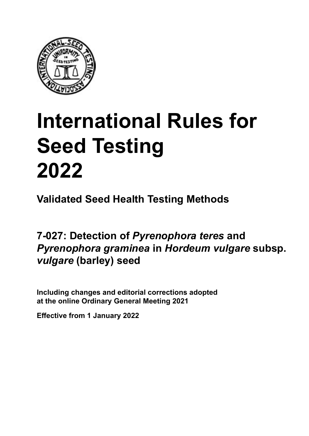

# **International Rules for Seed Testing von Saatgut 2022 2022 Semences 2022 International Rules for Seed Testing 2022**

**Métodos Validados para Análisis de Sanidad de Semillas Validate Méthodes Validées pour Analyse Sanitaire des Semences Validated Seed Health Testing Methods**

7-027: Detection of *Pyrenophora teres* and *Pyrenophora graminea* **en semillas de** *Hordeum Pyrenophora* **an Samen von** *Hordeum*  **sur semences de** *Hordeum*  **in** *Hordeum vulgare* **subsp.** *vulgare* **subsp.** *vulgare* **(cebada)** *vulgare* **(barley) seed**

Including changes and editorial corrections adopted at the online Ordinary General Meeting 2021

**Effective from 1 January 2022**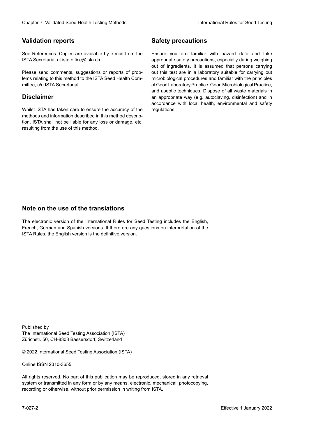### **Validation reports**

See References. Copies are available by e-mail from the<br>ISTA Secretariat at ista.office@ista.ch. ISTA Secretariat at ista.office@ista.ch.

lems relating to this method to the ISTA Seed Health Com-<br>mittee, c/o ISTA Secretariat. mittee, c/o ISTA Secretariat.<br>i Please send comments, suggestions or reports of prob-

### **Limitation de responsabilité Disclaimer**

Whilst ISTA has taken care to ensure the accuracy of the<br>methods and information described in this method description, ISTA shall not be liable for any loss or damage, etc.<br>resulting from the use of this method.<br>. resulting from the use of this method. Whilst ISTA has taken care to ensure the accuracy of the methods and information described in this method descrip-<br>tion, ISTA shall not be liable for any loss or damage, etc. tion, ISTA shall not be liable for any loss or damage, etc.<br>resulting from the use of this method.

### **Medidas de seguridad Sicherheitsmaßnahmen Sécurité Safety precautions**

Ensure you are familiar with hazard data and take Ensure you are familiar with hazard data and take<br>appropriate safety precautions, especially during weighing out of ingredients. It is assumed that persons carrying out this test are in a laboratory suitable for carrying out microbiological procedures and familiar with the principles of Good Laboratory Practice, Good Microbiological Practice, and aseptic techniques. Dispose of all waste materials in an appropriate way (e.g. autoclaving, disinfection) and in accordance with local health, environmental and safety regulations. Glade 7: Validated Deed Health Testing holesdos<br>
Validation reports<br>
Safety precedure and also recedure to the Same Safety precedure and<br>
Same Consensus all the method of the Same Safety precedure and<br>
Same Consensus and t microbiological procedures and familiar with the principles<br>of Good Laboratory Practice, Good Microbiological Practice,<br>and aseptic techniques. Dispose of all waste materials in<br>an appropriate way (e.g. autoclaving, disinf fallstoffe sind auf geeignete Weise und entsprechend der vor Ort über der vor Ort über und Umwelt- und Umwelt-<br>Eine und Umwelt-Effective Counter of Nicholas Devel Teach Teach Teach Devel Safety precedutions<br>
Validation reports<br>
Safety precedution reports and the symbol state of the sementic of the symbol state of the based delay and share<br>
Propose of Good Laboratory Practice, Good Microbiological Practice,<br>and aseptic techniques. Dispose of all waste materials in<br>an appropriate way (e.g. autoclaving, disinfection) and in Validation reports<br>
Since The Texture 1988 and the mediator of the Since Theorem and Texture 1990 and the mediator of the mediator<br>
Since and out the properties and the mediator of the mediator of the mediator of the media Ensure you are familiar with hazard data and take<br>appropriate safety precautions, especially during weighing<br>out of ingredients. It is assumed that persons carrying<br>out this test are in a laboratory suitable for carrying o

### **Nota sobre el uso de traducciones Anmerkung zur Benutzung der Übersetzungen Note on the use of the translations**

The electronic version of the International Rules for Seed Testing includes the English, French, German and Spanish versions. If there are any questions on interpretation of the ISTA Rules, the English version is the definitive version. The electronic version of the International Rules for Seed Testing includes the English,<br>French, German and Spanish versions. If there are any questions on interpretation of the<br>ISTA Rules, the English version is the defin The electronic version of the International Rules for Seed Testing includes the English,<br>French, German and Spanish versions. If there are any questions on interpretation of the

Published by **Extending Association (ISTA)** The International Seed Testing Association (ISTA) Zürichstr. 50, CH-8303 Bassersdorf, Switzerland

© 2022 International Seed Testing Association (ISTA)

Alle Rechte vorbehalten. Kein Teil dieses Werkes darf in irgendwelcher Form oder durch Online ISSN 2310-3655

All rights reserved. No part of this publication may be reproduced, stored in any retrieval All rights reserved. No part of this publication may be reproduced, stored in any retrieval<br>system or transmitted in any form or by any means, electronic, mechanical, photocopying,<br>recording or otherwise, without prior per recording or otherwise, without prior permis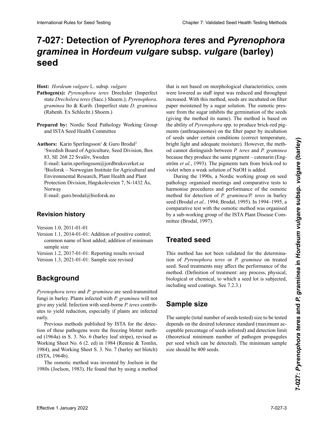# 7-027: Detection of *Pyrenophora teres* and *Pyrenophora graminea* in *Hordeum vulgare* subsp. *vulgare* (barley) *vulgare* **(cebada) subsp.** *vulgare* **(Gerste) seed**

### **Host:** *Hordeum vulgare* L. subsp. *vulgare*

- Pathogen(s): Pyrenophora teres Drechsler (Imperfect state Drechslera teres (Sacc.) Shoem.); Pyrenophora. graminea Ito & Kurib. (Imperfect state D. graminea *grammea* Ito Bramine (Estado Imperfecto America *Braminea*<br>(Rabenh Ex Schlecht) Shoem) (Rabenh. Ex Schlecht.) Shoem.) *Pyrenophora*. *graminea* Ito & Kurib. (Nebenfrucht-(Rabenh. Ex Schlecht.) Shoem.) form *D*. *graminea* (Rabenh. Ex Schlecht.) Shoem.)
- **Preparado por:** Nordic Seed Pathology Working Group and ISTA Seed Health Committee **Expansive dy.** Torum Seed Pathology Working Group und ISTA Seed Health Committee **Préparée by:** Proteit Bood Fainology Working Groupe and ISTA Seed Health Committee **Prepared by:** Nordic Seed Pathology Working Group
- **Authors:** Karin Sperlingsson<sup>1</sup> & Guro Brodal<sup>2</sup> <sup>1</sup>Swedish Board of Agriculture, Seed Division, Box 83,  $\overline{SO}$  83,  $\overline{SO}$  83,  $\overline{SO}$ 83, SE 268 22 Svalöv, Sweden E-mail: karin.sperlingsson@jordbruksverket.se 2 Bioforsk – Norwegian Institute for Agricultural and 2 Bioforsk – Norwegian Institute for Agricultural and Environmental Research, Plant Health and Plant Protection Division, Høgskoleveien 7, N-1432 Ås, Norway E-mail: guro.brodal@bioforsk.no E-Mail: guro.brodal@bioforsk.no E-mail: guro.brodal@bioforsk.no

**Historial de revisiones Revisionsstand Revision history Historique de la révision**

Version 1.0, 2011-01-01

Version 1.1, 2014-01-01: Addition of positive control; common name of host added; addition of minimum sample size

Version 1.2, 2017-01-01: Reporting results revised Version 1.3, 2021-01-01: Sample size revised

#### **Background Hintergrund Historique Background**

*Pyrenophora teres* and *P. graminea* are seed-transmitted fungi in barley. Plants infected with  $P$ , graminea will not give any yield. Infection with seed-borne *P. teres* contrib-*P.*  $\cdot$  *temp y term* and the *n* temperature contribution contribution associally if plants are infected de la coste reduction, especially if plants are infected den keinen Ertrag anten keinen Ertragen mit dem sammen. *P. teres* versus reduction, besonders in praise are inverted the state of the state of the state of the state of the state of the state of the state of the state of the state of the state of the state of the state of the state of the state of the state of the state of the state of t early.

early.<br>Previous methods published by ISTA for the detec-Los métodos publicados publicados por ISTA para la concelho detección de estos patógenos fueron, el método de papel  $\frac{1}{2}$  den  $\frac{1}{2}$  m s. 3. No. 6 (esterior de super Krankheitserreger waren die Ge- $\frac{1}{2}$ Working Sheet No. 6 (2. ed) in 1984 (Rennie & Tomlin, 1984), and Working Sheet S. 3. No. 7 (barley net blotch)<br>(ISTA, 1964b).  $(151A, 19040).$ erfolgte.<br>Erfolgte. tion of these pathogens were the freezing blotter methoden  $\frac{1}{100}$  $(151A, 19040).$ non or these pathogèns were the neezing officient-<br>od (1964a) in S. 3. No. 6 (barley leaf stripe), revised as<br>Working Sheet No. 6 (2. ed) in 1984 (Rennie & Tomlin, (ISTA, 1964b).

The osmotic method was invented by Joelson in the 1980s (Joelson, 1983). He found that by using a method The osmotic method was invented by Joelson in the

were lowered as staff input was reduced and throughput increased. With this method, seeds are incubated on filter<br>naner moistened by a sugar solution. The osmotic prespaper moistened by a sugar solution. The osmotic pressure from the sugar inhibits the germination of the seeds das filter from the sugar infinents are germination of the social<br>(giving the method its name). The method is based on car. La presión osmótica del azúcar inhibe la germinación Zuckers hemmt die Keimung der Samen (Namensgebung the ability of *Pyrenophora* spp. to produce brick-red pigde dollar semiligation der Methodole sur nombre al métodole sur métodole basiert auf der metodole basiert auf<br>Die Metodole sur la métodole sur la métodole basiert auf der métodole sur la métodole sur la métodole sur la m ments (antinaquinones) on the mer paper by measuredn<br>of seeds under certain conditions (correct temperature, productiv and color romantos (correct temperature)  $\frac{1}{2}$ en el papel filtro mediante incubación de la semilla bajo de la semilla bajo de la papel de la papel de la papel de la papel de la papel de la papel de la papel de la papel de la papel de la papel de la papel de od cannot distinguish between *P. teres* and *P. graminea* because they produce the same pigment – catenarin (Engstrom *et al.*, 1995). The pigments turn from orick-red to strom *et al.*, 1995). The pigments turn from orick-red to<br>violet when a weak solution of NaOH is added. of secas ander cenam conditions (correct temperature,  $m_{\text{H}}$  men unter succession and  $m_{\text{H}}$  mental  $m_{\text{H}}$ **Photoson de Des States (Propiedies 2000)** and the second oscillated a state of the states and the states are the states and the states of the states of the states of the states of the states of the states of the states o the ability of *Pyrenophora* spp. to produce brick-red pig-<br>ments (anthraquinones) on the filter paper by incubation or secus under certain conditions (correct temperature, bright light and adequate moisture). However, the methbecause they produce the same pigment – catenarm (Eng-<br>ström *et al.*, 1993). The pigments turn from brick-red to<br>violet when a weak solution of NaOH is added.<br>During the 1990s, a Nordic working group on seed<br>pathology org blanchon Rale In Section of *Pyrenophora* dense twisted sell their being the control of **Cyrenophora** dense in the **Cyrenophora** dense in the **Cyrenophora Gravitation** of **Cyrenophora Gravitation Cyrenophora Gravi** that is not based on morphological characteristics, costs

During the 1990s, a Nordic working group on seed pathology organised meetings and comparative tests to harmonise procedures and performance of the osmotic method for detection of P. graminea/P. teres in barley seed (Brodal *et al.,* 1994; Brodal, 1995). In 1994–1995, a comparative test with the osmotic method was organised by a sub-working group of the ISTA Plant Disease Com-<br>mittee (Brodal, 1997). mittee (Brodal, 1997). harmonise procedures and performance of the osmotic<br>method for detection of *P. graminea/P. teres* in barley<br>seed (Brodal *et al.*, 1994; Brodal, 1995). In 1994–1995, a method for detection of *P. graminea/P. teres* in barley

# 1997). suchung für die osmotische Methode organisiert (Brodal, **Treated seed**

tion of *Pyrenophora teres* or *P. graminea* on treated method. (Definition of treatment: any process, physical, biological or chemical, to which a seed lot is subjected,<br>including seed coatings. See  $723$ ) including seed coatings. See 7.2.3.) método. (Definición de tratamiento: cualquier proceso físeed. Seed treatments may affect the performance of the (gebeiztem) Saatgut. Saatgutbehandlungen können die This method has not been validated for the determinasique, biologique ou chimique, auxquels sont soumises les semences. Voir 7.2.3.)

### semillas incluyendo las semillas recubiertas. Ver 7.2.3.) Behandlung: Jegliches Verfahren, physikalischer, biologi-**Sample size** scher oder chemischer Natur, dem eine Saatgutpartie und Saatgutpartie und Saatgutpartie und Saatgutpartie und

I he sample (total number of seeds tested) size to be tested<br>depends on the desired tolerance standard (maximum ac- $\epsilon$  tamaño de la muestra a ser analizada (número total de la muestra de la muestra de la muestra de la muestra de la muestra de la muestra de la muestra de la muestra de la muestra de la muestra de la muestra de la muest  $\frac{1}{1}$  and  $\frac{1}{1}$  and  $\frac{1}{1}$  and  $\frac{1}{1}$  and  $\frac{1}{1}$  and  $\frac{1}{1}$  and  $\frac{1}{1}$  and  $\frac{1}{1}$  and  $\frac{1}{1}$  and  $\frac{1}{1}$  and  $\frac{1}{1}$  and  $\frac{1}{1}$  and  $\frac{1}{1}$  and  $\frac{1}{1}$  and  $\frac{1}{1}$  and  $\frac{1}{1}$  a (incorcidat infinition nombre of pathogen propagates)<br>per seed which can be detected). The minimum sample size should be 400 seeds. The sample (total number of seeds tested) size to be tested **(theoretical minimur)**<br>**Property** seed which can be depends on the desired total de standard (maximum ac ceptable percentage of seeds infested) and detection limit teplant percentage of secas intested) and detection mini-<br>(theoretical minimum number of pathogen propagules)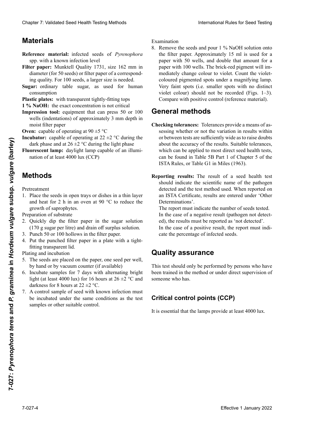# **Materiales Material MatérielMaterials**

- Reference material: infected seeds of Pyrenophora spp. with a known infection level
- Filter paper: Munktell Quality 1731, size 162 mm in diameter (for 50 seeds) or filter paper of a corresponding quality. For 100 seeds, a larger size is needed.
- Sugar: ordinary table sugar, as used for human **Consumption** consumption<br>**Plastic plates:** with transparent tightly-fitting tops
- 
- **1** % **NaOH:** the exact concentration is not critical
- **Impression tool:** equipment that can press 50 or 100 wells (indentations) of approximately 3 mm  $H = \frac{H}{2}$ moist filter paper<br>
Oven: capable of operating at  $90 \pm 5$  °C entscheiden.<br>Enderte werkelter noner **1 % NaOH :** la concentration exacte n'est pas critique wells (indentations) of approximately 3 mm depth in moist filter paper
- 
- $\frac{1}{2}$  m. Equal of properties at  $20-2$  mm defined the substantial definition of  $\frac{1}{2}$ ubator. dark phase and at  $26 \pm 2$  °C during the light phase **Troubator:** Capable of operating at  $22 \pm 2$ profondeur deur deutschen dans letzte dans letzte dans le papier de la papier de la papier de la papier de la papier de la papier de la papier de la papier de la papier de la papier de la papier de la papier de la papier **Incubator:** capable of operating at  $22 \pm 2$  °C during the development of  $26 \pm 2$  °C during the development of  $26 \pm 2$  °C during the development of  $26 \pm 2$  °C during the development of  $26 \pm 2$  °C during the developme
- **Inducateur lamp**: dayiight lamp capable of an indiffination of at least 4000 lux (CCP)  $\frac{1}{2}$   $\frac{1}{2}$   $\frac{1}{2}$   $\frac{1}{2}$   $\frac{1}{2}$   $\frac{1}{2}$   $\frac{1}{2}$   $\frac{1}{2}$   $\frac{1}{2}$   $\frac{1}{2}$   $\frac{1}{2}$   $\frac{1}{2}$   $\frac{1}{2}$   $\frac{1}{2}$   $\frac{1}{2}$   $\frac{1}{2}$   $\frac{1}{2}$   $\frac{1}{2}$   $\frac{1}{2}$   $\frac{1}{2}$   $\frac{1}{2}$   $\frac{1}{2}$  **prescent ramp.** daying the analytic der  $CSP$  $\frac{u_{\text{max}}}{2}$  and at  $20 \pm 2$  °C during the right phase **Fluorescent lamp:** daylight lamp capable of an illumi-

# **industrial menos 4000 lux (PCC)**

#### Pretreatment **Methoden Méthodes**Pretreatment

- and heat for 2 h in an oven at 90  $^{\circ}$ C to reduce the growth of saprophytes. growth of saprophytes. 1. Place the seeds in open trays or dishes in a thin layer
- Preparation of substrate
- 2. Quickly dip the filter paper in the sugar solution  $(170 \text{ g sugar per litre})$  and drain off surplus solution.
- 3. Punch 50 or 100 hollows in the filter paper.
- 3. Punch 50 or 100 hollows in the filter paper.<br>4. Put the punched filter paper in a plate with a tightfitting transparent lid.

Plating and incubation

- 5. The seeds are placed on the paper, one seed per well, by hand or by vacuum counter (if available)
- 6. Incubate samples for 7 days with alternating bright light (at least 4000 lux) for 16 hours at 26 ±2 °C and<br>darkness for 8 hours at 22 +2 °C darkness for 8 hours at  $22 \pm 2$  °C.
- 7. A control sample of seed with known infection must be incubated under the same conditions as the test samples or other suitable control. ras a 26 ±2 °C y períodos de oscuridad por 8 horas a 26 horas a 26 horas a 26 horas a 26 horas a 26 horas a 26 mit Lichtphase (mindestens 4000 Lux) für 16 h bei 26±2°C und Dunkelphase für 8 h bei 22 ±2 °C. 7. Un témoin constitué de semences contaminées de ni-

Examination

8. Remove the seeds and pour 1 % NaOH solution onto the filter paper. Approximately 15 ml is used for a paper with 50 wells, and double that amount for a paper with 100 wells. The brick-red pigment will impaper with 100 wells. The brick-red pigment will immediately change colour to violet. Count the violet-<br>coloured pigmented spots under a magnifying lamp.<br>Very faint spots (i.e. smaller spots with no distinct coloured pigmented spots under a magnifying lamp.<br>Very faint spots (i.e. smaller spots with no distinct Very faint spots (i.e. smaller spots with no distinct violet colour) should not be recorded (Figs. 1–3).<br>Compare with positive control (reference material).  $S_{\text{transfer}}$  with nositive control (reference material) (Figs. 1–3). Comparar con el control positivo (material Clearles 7: Validated Steel Health Testics based of Promotions 2. Summization ab Example 1. Summization control international about 1. Summization of European Steel Health Clearles Control international about 1.75 and 1. Change 7. Voltained Seat Health Forming Language is the multiplication of the case of a basebook first the control of the case of the control of the case of the case of the case of the case of the case of the case of the violet colour) should not be recorded (Figs. 1–3).<br>Compare with positive control (reference material).<br>**Aneral methods** Compare with positive control (reference material).

### مnaral m*e* **Allgemeine Methoden General methods**

- **Unecking tolerances:** Tolerances provide a means of assessing whether or not the variation in results within about the accuracy of the results. Suitable tolerances, about the accuracy of the results. Suitable toterances, which can be applied to most direct seed health tests, which can be applied to most uncer seed health tests, which can be applied to most direct seed health tests,<br>can be found in Table 5B Part 1 of Chapter 5 of the Can be found in Table 3B Part 1 of Chapter 3 of the<br>ISTA Rules, or Table G1 in Miles (1963). or between tests are sufficiently wide as to raise doubts **Checking tolerances:** Tolerances provide a means of as-
- aplicar directamente a la mayoría de los análisis de saporting results: The result of a seed health test should indicate the scientific name of the pathogen detected and the test method used. When reported on Determinations'. des Kapitels 5 der ISTA-Vorschriften, oder in Tabelle porting results: 1 an ISTA Certificate, results are entered under 'Other **porting results:** The result of a seed health test should indicate the scientific name of the pathogen Experimental this is the three paper in the sugare solution in the filter paper in the subsp.  $\frac{1}{2}$  **Effective 1 A**  $\frac{1}{2}$  **COV COV COV COV COV COV COV COV COV COV COV COV COV COV COV Reporting results:** The result of a seed health test

The report must indicate the number of seeds tested. In the case of a negative result (pathogen not detected), the results must be reported as 'not detected'. Sensulation Name Determinations.<br>The report must indicate the number of seeds tested.<br>In the case of a negative result (pathogen not detected),<br>the results must be reported as 'not detected'. The report must indicate the number of seeds tested.

In the case of a positive result, the report must indicate the percentage of infected seeds. cate the percentage of infected seeds.

## **Quality assurance**

This test should only be performed by persons who have been trained in the method or under direct supervision of **Solitone** who has. someone who has.

#### Este análisis sólo debe ser realizado por personal que haya **Critical control points (CCP)** werden, die entsprechende Erfahrungen bei der Identifika-Identifika-Identifika-Identifika-Identifika-Identifikasupervision directe de personnes qui l'ont été.

It is essential that the lamps provide at  $\log A$ 000 lux re is essential that the tamp It is essential that the lamps provide at  $\log A_{000}$  by It is essential that the lamps provide at least 4000 lux.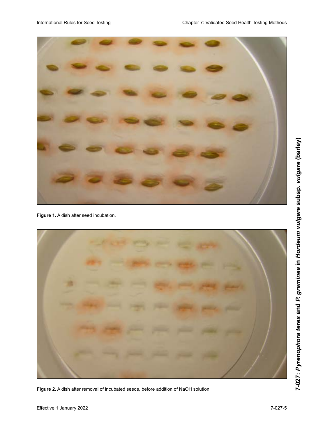

**Figure 1.** A dish after seed incubation.

**Figure 2.** A dish after removal of incubated seeds, before addition of NaOH solution.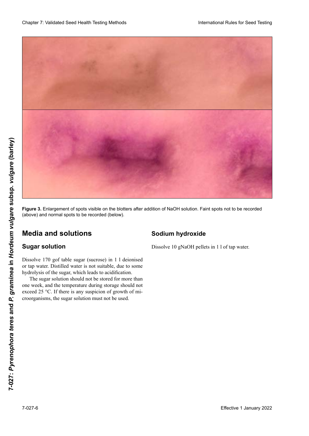

**Figure 3.** Enlargement of spots visible on the blotters after addition of NaOH solution. Faint spots not to be recorded (above) and normal spots to be recorded (below). And a state of the state of a state of a state of a

# **Medio y soluciones Medien und Lösungen Milieux et solutions Media and solutions**

### $\boldsymbol{\mathsf{S}}$ ugar solution

Dissolve 170 gof table sugar (sucrose) in 1 1 deionised<br>or tap water. Distilled water is not suitable, due to some or tap water. Distilled water is not suitable, due to some hydrolysis of the sugar, which leads to acidification.

The sugar solution should not be stored for more than one week, and the temperature during storage should not<br>exceed 25  $^{\circ}$ C. If there is any suspicion of growth of mi-<br>croorganisms, the sugar solution must not be used exceed 25 °C. If there is any suspicion of growth of mi- $\alpha$   $\alpha$   $\alpha$   $\alpha$   $\alpha$   $\beta$   $\alpha$   $\beta$  are contributed to  $\alpha$  and  $\alpha$  are contributed to contrary a contrary and  $\alpha$ miento de microorganismos, la solución de azúcar no debe  $\frac{1}{1}$  croorganisms the sugar solution must not be used roorganismen gegeben sein, darf die Zuckerlösung nicht verwendet werden. croorganisms, the sugar solution must not be used.

## **Hidróxido de sodio Natriumhydroxid Hydroxide de sodium Sodium hydroxide**

Dissolve 10 gNaOH pellets in 11 of tap water.